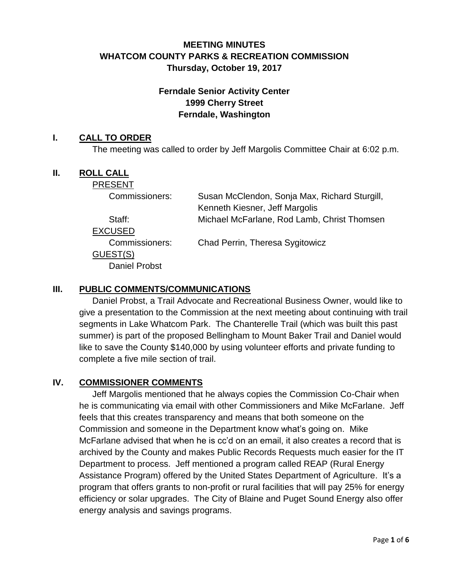# **MEETING MINUTES WHATCOM COUNTY PARKS & RECREATION COMMISSION Thursday, October 19, 2017**

# **Ferndale Senior Activity Center 1999 Cherry Street Ferndale, Washington**

### **I. CALL TO ORDER**

The meeting was called to order by Jeff Margolis Committee Chair at 6:02 p.m.

#### **II. ROLL CALL**

**PRESENT** 

| Commissioners:       | Susan McClendon, Sonja Max, Richard Sturgill,<br>Kenneth Kiesner, Jeff Margolis |
|----------------------|---------------------------------------------------------------------------------|
| Staff:               | Michael McFarlane, Rod Lamb, Christ Thomsen                                     |
| EXCUSED              |                                                                                 |
| Commissioners:       | Chad Perrin, Theresa Sygitowicz                                                 |
| GUEST(S)             |                                                                                 |
| <b>Daniel Probst</b> |                                                                                 |
|                      |                                                                                 |

### **III. PUBLIC COMMENTS/COMMUNICATIONS**

Daniel Probst, a Trail Advocate and Recreational Business Owner, would like to give a presentation to the Commission at the next meeting about continuing with trail segments in Lake Whatcom Park. The Chanterelle Trail (which was built this past summer) is part of the proposed Bellingham to Mount Baker Trail and Daniel would like to save the County \$140,000 by using volunteer efforts and private funding to complete a five mile section of trail.

### **IV. COMMISSIONER COMMENTS**

Jeff Margolis mentioned that he always copies the Commission Co-Chair when he is communicating via email with other Commissioners and Mike McFarlane. Jeff feels that this creates transparency and means that both someone on the Commission and someone in the Department know what's going on. Mike McFarlane advised that when he is cc'd on an email, it also creates a record that is archived by the County and makes Public Records Requests much easier for the IT Department to process. Jeff mentioned a program called REAP (Rural Energy Assistance Program) offered by the United States Department of Agriculture. It's a program that offers grants to non-profit or rural facilities that will pay 25% for energy efficiency or solar upgrades. The City of Blaine and Puget Sound Energy also offer energy analysis and savings programs.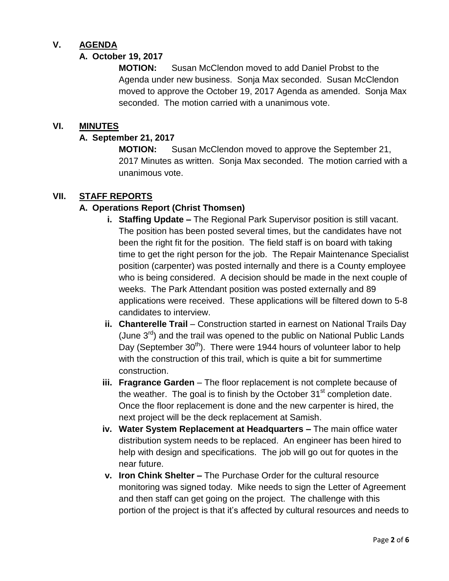## **V. AGENDA**

# **A. October 19, 2017**

**MOTION:** Susan McClendon moved to add Daniel Probst to the Agenda under new business. Sonja Max seconded. Susan McClendon moved to approve the October 19, 2017 Agenda as amended. Sonja Max seconded. The motion carried with a unanimous vote.

### **VI. MINUTES**

### **A. September 21, 2017**

**MOTION:** Susan McClendon moved to approve the September 21, 2017 Minutes as written. Sonja Max seconded. The motion carried with a unanimous vote.

### **VII. STAFF REPORTS**

### **A. Operations Report (Christ Thomsen)**

- **i. Staffing Update –** The Regional Park Supervisor position is still vacant. The position has been posted several times, but the candidates have not been the right fit for the position. The field staff is on board with taking time to get the right person for the job. The Repair Maintenance Specialist position (carpenter) was posted internally and there is a County employee who is being considered. A decision should be made in the next couple of weeks. The Park Attendant position was posted externally and 89 applications were received. These applications will be filtered down to 5-8 candidates to interview.
- **ii. Chanterelle Trail** Construction started in earnest on National Trails Day (June  $3<sup>rd</sup>$ ) and the trail was opened to the public on National Public Lands Day (September  $30<sup>th</sup>$ ). There were 1944 hours of volunteer labor to help with the construction of this trail, which is quite a bit for summertime construction.
- **iii. Fragrance Garden** The floor replacement is not complete because of the weather. The goal is to finish by the October  $31<sup>st</sup>$  completion date. Once the floor replacement is done and the new carpenter is hired, the next project will be the deck replacement at Samish.
- **iv. Water System Replacement at Headquarters –** The main office water distribution system needs to be replaced. An engineer has been hired to help with design and specifications. The job will go out for quotes in the near future.
- **v. Iron Chink Shelter –** The Purchase Order for the cultural resource monitoring was signed today. Mike needs to sign the Letter of Agreement and then staff can get going on the project. The challenge with this portion of the project is that it's affected by cultural resources and needs to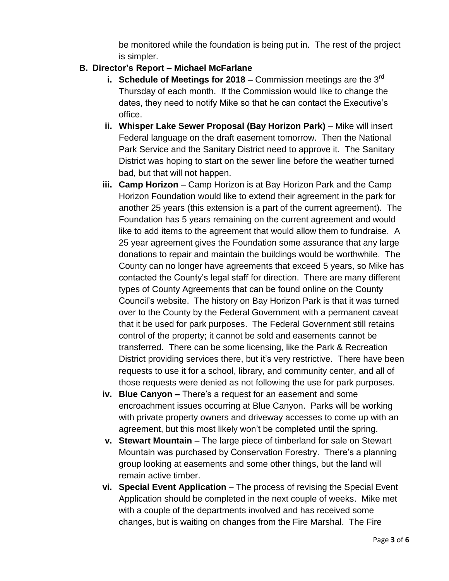be monitored while the foundation is being put in. The rest of the project is simpler.

# **B. Director's Report – Michael McFarlane**

- **i. Schedule of Meetings for 2018 –** Commission meetings are the 3<sup>rd</sup> Thursday of each month. If the Commission would like to change the dates, they need to notify Mike so that he can contact the Executive's office.
- **ii.** Whisper Lake Sewer Proposal (Bay Horizon Park) Mike will insert Federal language on the draft easement tomorrow. Then the National Park Service and the Sanitary District need to approve it. The Sanitary District was hoping to start on the sewer line before the weather turned bad, but that will not happen.
- **iii. Camp Horizon** Camp Horizon is at Bay Horizon Park and the Camp Horizon Foundation would like to extend their agreement in the park for another 25 years (this extension is a part of the current agreement). The Foundation has 5 years remaining on the current agreement and would like to add items to the agreement that would allow them to fundraise. A 25 year agreement gives the Foundation some assurance that any large donations to repair and maintain the buildings would be worthwhile. The County can no longer have agreements that exceed 5 years, so Mike has contacted the County's legal staff for direction. There are many different types of County Agreements that can be found online on the County Council's website. The history on Bay Horizon Park is that it was turned over to the County by the Federal Government with a permanent caveat that it be used for park purposes. The Federal Government still retains control of the property; it cannot be sold and easements cannot be transferred. There can be some licensing, like the Park & Recreation District providing services there, but it's very restrictive. There have been requests to use it for a school, library, and community center, and all of those requests were denied as not following the use for park purposes.
- **iv. Blue Canyon –** There's a request for an easement and some encroachment issues occurring at Blue Canyon. Parks will be working with private property owners and driveway accesses to come up with an agreement, but this most likely won't be completed until the spring.
- **v. Stewart Mountain** The large piece of timberland for sale on Stewart Mountain was purchased by Conservation Forestry. There's a planning group looking at easements and some other things, but the land will remain active timber.
- **vi. Special Event Application** The process of revising the Special Event Application should be completed in the next couple of weeks. Mike met with a couple of the departments involved and has received some changes, but is waiting on changes from the Fire Marshal. The Fire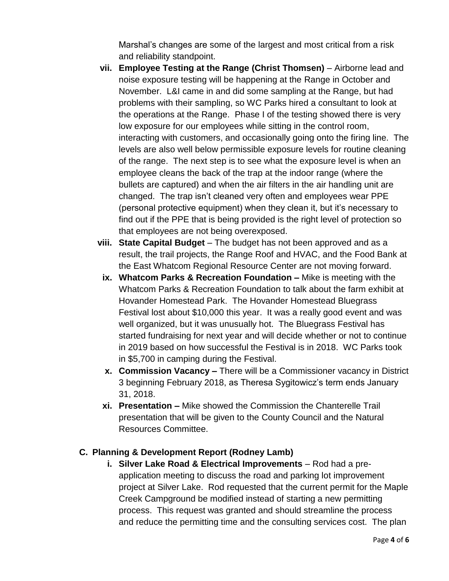Marshal's changes are some of the largest and most critical from a risk and reliability standpoint.

- **vii. Employee Testing at the Range (Christ Thomsen)**  Airborne lead and noise exposure testing will be happening at the Range in October and November. L&I came in and did some sampling at the Range, but had problems with their sampling, so WC Parks hired a consultant to look at the operations at the Range. Phase I of the testing showed there is very low exposure for our employees while sitting in the control room, interacting with customers, and occasionally going onto the firing line. The levels are also well below permissible exposure levels for routine cleaning of the range. The next step is to see what the exposure level is when an employee cleans the back of the trap at the indoor range (where the bullets are captured) and when the air filters in the air handling unit are changed. The trap isn't cleaned very often and employees wear PPE (personal protective equipment) when they clean it, but it's necessary to find out if the PPE that is being provided is the right level of protection so that employees are not being overexposed.
- **viii. State Capital Budget**  The budget has not been approved and as a result, the trail projects, the Range Roof and HVAC, and the Food Bank at the East Whatcom Regional Resource Center are not moving forward.
- **ix. Whatcom Parks & Recreation Foundation –** Mike is meeting with the Whatcom Parks & Recreation Foundation to talk about the farm exhibit at Hovander Homestead Park. The Hovander Homestead Bluegrass Festival lost about \$10,000 this year. It was a really good event and was well organized, but it was unusually hot. The Bluegrass Festival has started fundraising for next year and will decide whether or not to continue in 2019 based on how successful the Festival is in 2018. WC Parks took in \$5,700 in camping during the Festival.
- **x. Commission Vacancy –** There will be a Commissioner vacancy in District 3 beginning February 2018, as Theresa Sygitowicz's term ends January 31, 2018.
- **xi. Presentation –** Mike showed the Commission the Chanterelle Trail presentation that will be given to the County Council and the Natural Resources Committee.

## **C. Planning & Development Report (Rodney Lamb)**

**i.** Silver Lake Road & Electrical Improvements – Rod had a preapplication meeting to discuss the road and parking lot improvement project at Silver Lake. Rod requested that the current permit for the Maple Creek Campground be modified instead of starting a new permitting process. This request was granted and should streamline the process and reduce the permitting time and the consulting services cost. The plan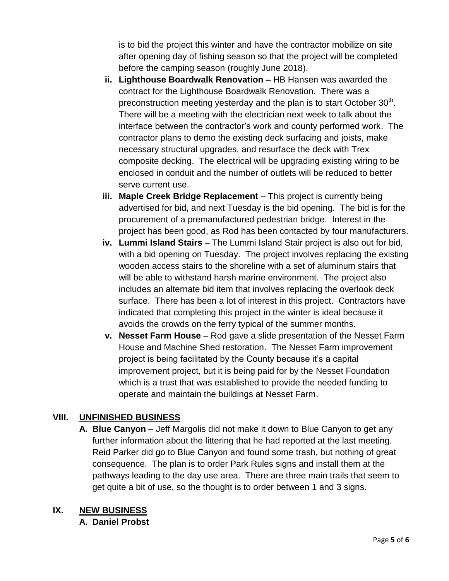is to bid the project this winter and have the contractor mobilize on site after opening day of fishing season so that the project will be completed before the camping season (roughly June 2018).

- **ii. Lighthouse Boardwalk Renovation –** HB Hansen was awarded the contract for the Lighthouse Boardwalk Renovation. There was a preconstruction meeting yesterday and the plan is to start October  $30<sup>th</sup>$ . There will be a meeting with the electrician next week to talk about the interface between the contractor's work and county performed work. The contractor plans to demo the existing deck surfacing and joists, make necessary structural upgrades, and resurface the deck with Trex composite decking. The electrical will be upgrading existing wiring to be enclosed in conduit and the number of outlets will be reduced to better serve current use.
- **iii. Maple Creek Bridge Replacement** This project is currently being advertised for bid, and next Tuesday is the bid opening. The bid is for the procurement of a premanufactured pedestrian bridge. Interest in the project has been good, as Rod has been contacted by four manufacturers.
- **iv. Lummi Island Stairs** The Lummi Island Stair project is also out for bid, with a bid opening on Tuesday. The project involves replacing the existing wooden access stairs to the shoreline with a set of aluminum stairs that will be able to withstand harsh marine environment. The project also includes an alternate bid item that involves replacing the overlook deck surface. There has been a lot of interest in this project. Contractors have indicated that completing this project in the winter is ideal because it avoids the crowds on the ferry typical of the summer months.
- **v. Nesset Farm House** Rod gave a slide presentation of the Nesset Farm House and Machine Shed restoration. The Nesset Farm improvement project is being facilitated by the County because it's a capital improvement project, but it is being paid for by the Nesset Foundation which is a trust that was established to provide the needed funding to operate and maintain the buildings at Nesset Farm.

## **VIII. UNFINISHED BUSINESS**

**A. Blue Canyon** – Jeff Margolis did not make it down to Blue Canyon to get any further information about the littering that he had reported at the last meeting. Reid Parker did go to Blue Canyon and found some trash, but nothing of great consequence. The plan is to order Park Rules signs and install them at the pathways leading to the day use area. There are three main trails that seem to get quite a bit of use, so the thought is to order between 1 and 3 signs.

## **IX. NEW BUSINESS**

**A. Daniel Probst**